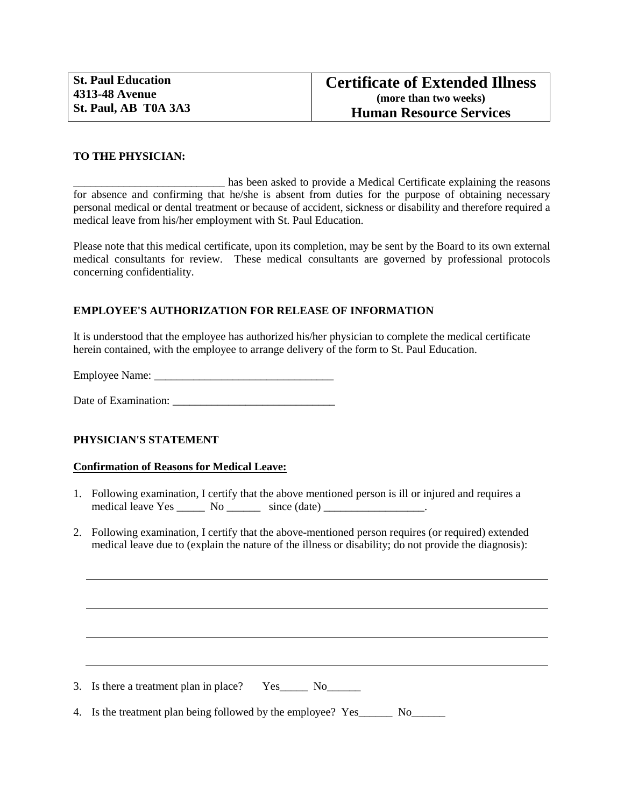## **TO THE PHYSICIAN:**

has been asked to provide a Medical Certificate explaining the reasons for absence and confirming that he/she is absent from duties for the purpose of obtaining necessary personal medical or dental treatment or because of accident, sickness or disability and therefore required a medical leave from his/her employment with St. Paul Education.

Please note that this medical certificate, upon its completion, may be sent by the Board to its own external medical consultants for review. These medical consultants are governed by professional protocols concerning confidentiality.

## **EMPLOYEE'S AUTHORIZATION FOR RELEASE OF INFORMATION**

It is understood that the employee has authorized his/her physician to complete the medical certificate herein contained, with the employee to arrange delivery of the form to St. Paul Education.

Employee Name: \_\_\_\_\_\_\_\_\_\_\_\_\_\_\_\_\_\_\_\_\_\_\_\_\_\_\_\_\_\_\_\_

Date of Examination: \_\_\_\_\_\_\_\_\_\_\_\_\_\_\_\_\_\_\_\_\_\_\_\_\_\_\_\_\_

## **PHYSICIAN'S STATEMENT**

## **Confirmation of Reasons for Medical Leave:**

- 1. Following examination, I certify that the above mentioned person is ill or injured and requires a medical leave Yes \_\_\_\_\_\_ No \_\_\_\_\_\_\_ since (date) \_\_\_\_\_\_\_\_\_\_\_\_\_\_\_\_\_\_\_.
- 2. Following examination, I certify that the above-mentioned person requires (or required) extended medical leave due to (explain the nature of the illness or disability; do not provide the diagnosis):

3. Is there a treatment plan in place? Yes\_\_\_\_\_\_ No\_\_\_\_\_\_\_

4. Is the treatment plan being followed by the employee? Yes No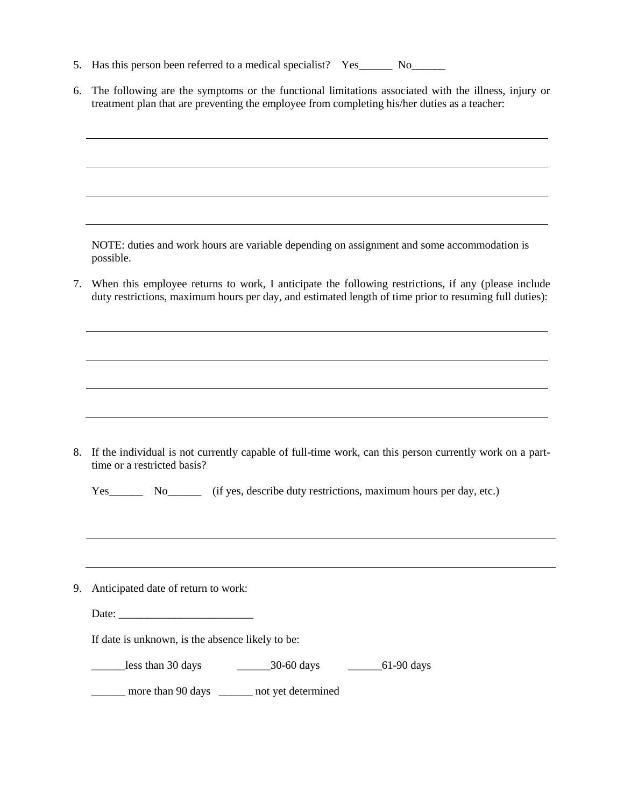- 5. Has this person been referred to a medical specialist? Yes\_\_\_\_\_\_\_ No\_\_\_\_\_\_\_\_
- 6. The following are the symptoms or the functional limitations associated with the illness, injury or treatment plan that are preventing the employee from completing his/her duties as a teacher:

NOTE: duties and work hours are variable depending on assignment and some accommodation is possible.

7. When this employee returns to work, I anticipate the following restrictions, if any (please include duty restrictions, maximum hours per day, and estimated length of time prior to resuming full duties):

8. If the individual is not currently capable of full-time work, can this person currently work on a parttime or a restricted basis?

| Yes |    |  | (if yes, describe duty restrictions, maximum hours per day, etc.) |  |  |
|-----|----|--|-------------------------------------------------------------------|--|--|
|     | Nο |  |                                                                   |  |  |
|     |    |  |                                                                   |  |  |

- 9. Anticipated date of return to work:
	- Date: \_\_\_\_\_\_\_\_\_\_\_\_\_\_\_\_\_\_\_\_\_\_\_\_

If date is unknown, is the absence likely to be:

\_\_\_\_\_\_less than 30 days \_\_\_\_\_\_30-60 days \_\_\_\_\_\_61-90 days

\_\_\_\_\_\_ more than 90 days \_\_\_\_\_\_ not yet determined